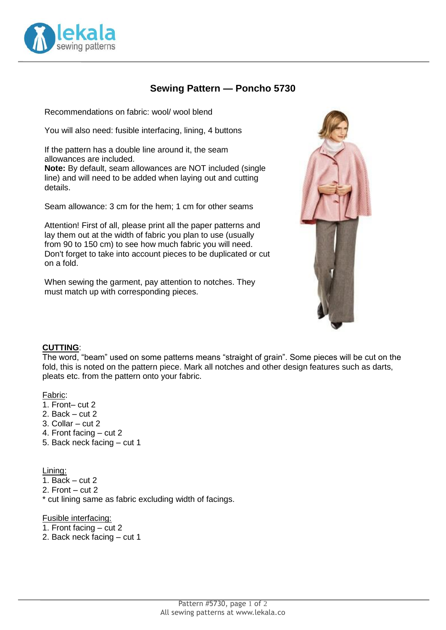

# **Sewing Pattern — Poncho 5730**

Recommendations on fabric: wool/ wool blend

You will also need: fusible interfacing, lining, 4 buttons

If the pattern has a double line around it, the seam allowances are included.

**Note:** By default, seam allowances are NOT included (single line) and will need to be added when laying out and cutting details.

Seam allowance: 3 cm for the hem; 1 cm for other seams

Attention! First of all, please print all the paper patterns and lay them out at the width of fabric you plan to use (usually from 90 to 150 cm) to see how much fabric you will need. Don't forget to take into account pieces to be duplicated or cut on a fold.

When sewing the garment, pay attention to notches. They must match up with corresponding pieces.



### **CUTTING**:

The word, "beam" used on some patterns means "straight of grain". Some pieces will be cut on the fold, this is noted on the pattern piece. Mark all notches and other design features such as darts, pleats etc. from the pattern onto your fabric.

#### Fabric:

- 1. Front– cut 2
- 2. Back cut 2
- 3. Collar cut 2
- 4. Front facing cut 2
- 5. Back neck facing cut 1

Lining:

- $\overline{1}$ . Back cut 2
- 2. Front cut 2

\* cut lining same as fabric excluding width of facings.

Fusible interfacing:

- 1. Front facing cut 2
- 2. Back neck facing cut 1